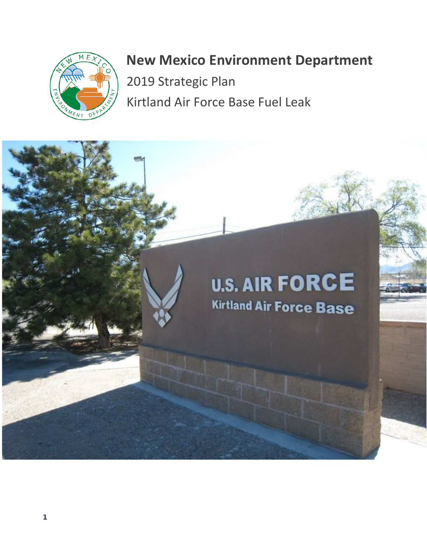

# **New Mexico Environment Department**

2019 Strategic Plan Kirtland Air Force Base Fuel Leak

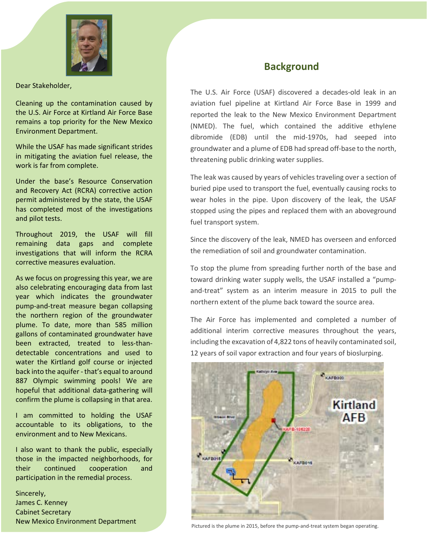

Dear Stakeholder,

Cleaning up the contamination caused by the U.S. Air Force at Kirtland Air Force Base remains a top priority for the New Mexico Environment Department.

While the USAF has made significant strides in mitigating the aviation fuel release, the work is far from complete.

Under the base's Resource Conservation and Recovery Act (RCRA) corrective action permit administered by the state, the USAF has completed most of the investigations and pilot tests.

Throughout 2019, the USAF will fill remaining data gaps and complete investigations that will inform the RCRA corrective measures evaluation.

As we focus on progressing this year, we are also celebrating encouraging data from last year which indicates the groundwater pump-and-treat measure began collapsing the northern region of the groundwater plume. To date, more than 585 million gallons of contaminated groundwater have been extracted, treated to less-thandetectable concentrations and used to water the Kirtland golf course or injected back into the aquifer-that's equal to around 887 Olympic swimming pools! We are hopeful that additional data-gathering will confirm the plume is collapsing in that area.

I am committed to holding the USAF accountable to its obligations, to the environment and to New Mexicans.

I also want to thank the public, especially those in the impacted neighborhoods, for their continued cooperation and participation in the remedial process.

2 New Mexico Environment Department Sincerely, James C. Kenney Cabinet Secretary

# **Background**

The U.S. Air Force (USAF) discovered a decades-old leak in an aviation fuel pipeline at Kirtland Air Force Base in 1999 and reported the leak to the New Mexico Environment Department (NMED). The fuel, which contained the additive ethylene dibromide (EDB) until the mid-1970s, had seeped into groundwater and a plume of EDB had spread off-base to the north, threatening public drinking water supplies.

The leak was caused by years of vehicles traveling over a section of buried pipe used to transport the fuel, eventually causing rocks to wear holes in the pipe. Upon discovery of the leak, the USAF stopped using the pipes and replaced them with an aboveground fuel transport system.

Since the discovery of the leak, NMED has overseen and enforced the remediation of soil and groundwater contamination.

To stop the plume from spreading further north of the base and toward drinking water supply wells, the USAF installed a "pumpand-treat" system as an interim measure in 2015 to pull the northern extent of the plume back toward the source area.

The Air Force has implemented and completed a number of additional interim corrective measures throughout the years, including the excavation of 4,822 tons of heavily contaminated soil, 12 years of soil vapor extraction and four years of bioslurping.



Pictured is the plume in 2015, before the pump-and-treat system began operating.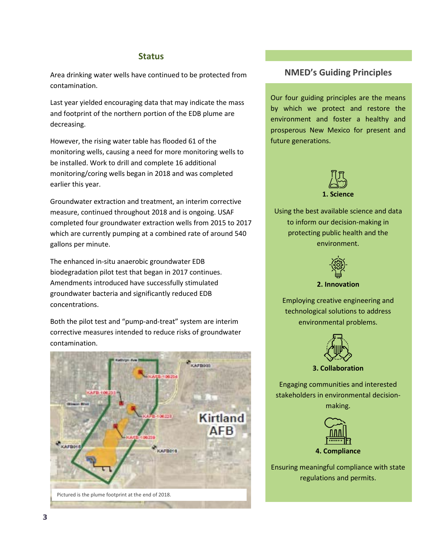#### **Status**

Area drinking water wells have continued to be protected from contamination.

Last year yielded encouraging data that may indicate the mass and footprint of the northern portion of the EDB plume are decreasing.

However, the rising water table has flooded 61 of the monitoring wells, causing a need for more monitoring wells to be installed. Work to drill and complete 16 additional monitoring/coring wells began in 2018 and was completed earlier this year.

Groundwater extraction and treatment, an interim corrective measure, continued throughout 2018 and is ongoing. USAF completed four groundwater extraction wells from 2015 to 2017 which are currently pumping at a combined rate of around 540 gallons per minute.

The enhanced in-situ anaerobic groundwater EDB biodegradation pilot test that began in 2017 continues. Amendments introduced have successfully stimulated groundwater bacteria and significantly reduced EDB concentrations.

Both the pilot test and "pump-and-treat" system are interim corrective measures intended to reduce risks of groundwater contamination.



### **NMED's Guiding Principles**

Our four guiding principles are the means by which we protect and restore the environment and foster a healthy and prosperous New Mexico for present and future generations.



Using the best available science and data to inform our decision-making in protecting public health and the environment.



**2. Innovation**

Employing creative engineering and technological solutions to address environmental problems.



**3. Collaboration**

Engaging communities and interested stakeholders in environmental decisionmaking.



Ensuring meaningful compliance with state regulations and permits.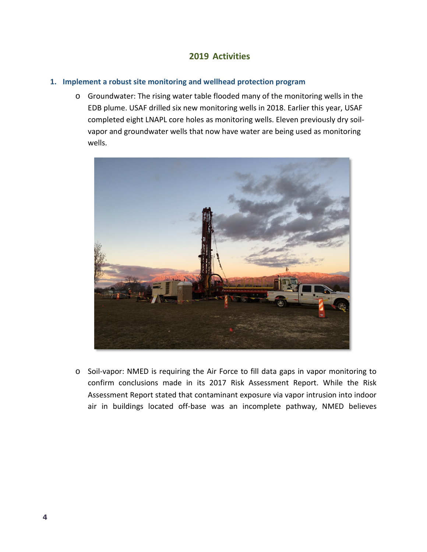## **2019 Activities**

#### **1. Implement a robust site monitoring and wellhead protection program**

o Groundwater: The rising water table flooded many of the monitoring wells in the EDB plume. USAF drilled six new monitoring wells in 2018. Earlier this year, USAF completed eight LNAPL core holes as monitoring wells. Eleven previously dry soilvapor and groundwater wells that now have water are being used as monitoring wells.



o Soil-vapor: NMED is requiring the Air Force to fill data gaps in vapor monitoring to confirm conclusions made in its 2017 Risk Assessment Report. While the Risk Assessment Report stated that contaminant exposure via vapor intrusion into indoor air in buildings located off-base was an incomplete pathway, NMED believes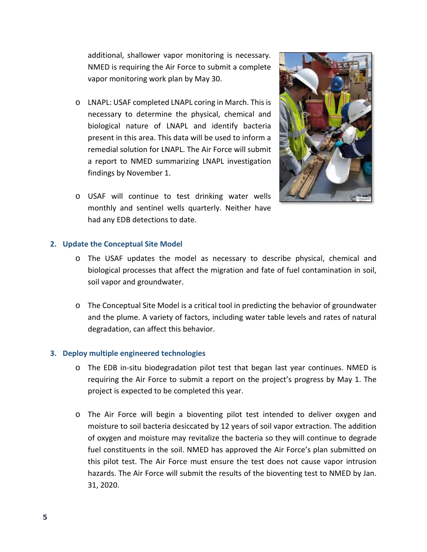additional, shallower vapor monitoring is necessary. NMED is requiring the Air Force to submit a complete vapor monitoring work plan by May 30.

- o LNAPL: USAF completed LNAPL coring in March. This is necessary to determine the physical, chemical and biological nature of LNAPL and identify bacteria present in this area. This data will be used to inform a remedial solution for LNAPL. The Air Force will submit a report to NMED summarizing LNAPL investigation findings by November 1.
- o USAF will continue to test drinking water wells monthly and sentinel wells quarterly. Neither have had any EDB detections to date.



#### **2. Update the Conceptual Site Model**

- o The USAF updates the model as necessary to describe physical, chemical and biological processes that affect the migration and fate of fuel contamination in soil, soil vapor and groundwater.
- o The Conceptual Site Model is a critical tool in predicting the behavior of groundwater and the plume. A variety of factors, including water table levels and rates of natural degradation, can affect this behavior.

#### **3. Deploy multiple engineered technologies**

- o The EDB in-situ biodegradation pilot test that began last year continues. NMED is requiring the Air Force to submit a report on the project's progress by May 1. The project is expected to be completed this year.
- o The Air Force will begin a bioventing pilot test intended to deliver oxygen and moisture to soil bacteria desiccated by 12 years of soil vapor extraction. The addition of oxygen and moisture may revitalize the bacteria so they will continue to degrade fuel constituents in the soil. NMED has approved the Air Force's plan submitted on this pilot test. The Air Force must ensure the test does not cause vapor intrusion hazards. The Air Force will submit the results of the bioventing test to NMED by Jan. 31, 2020.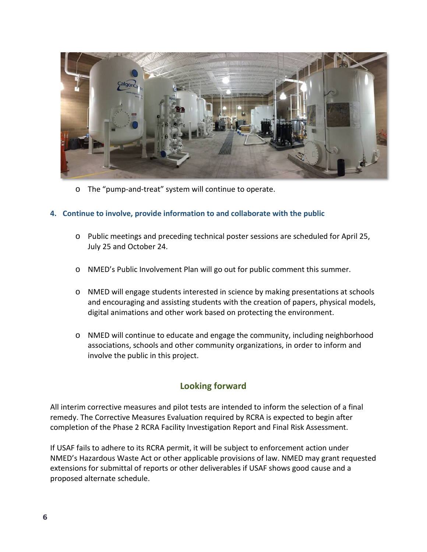

o The "pump-and-treat" system will continue to operate.

#### **4. Continue to involve, provide information to and collaborate with the public**

- o Public meetings and preceding technical poster sessions are scheduled for April 25, July 25 and October 24.
- o NMED's Public Involvement Plan will go out for public comment this summer.
- o NMED will engage students interested in science by making presentations at schools and encouraging and assisting students with the creation of papers, physical models, digital animations and other work based on protecting the environment.
- o NMED will continue to educate and engage the community, including neighborhood associations, schools and other community organizations, in order to inform and involve the public in this project.

# **Looking forward**

All interim corrective measures and pilot tests are intended to inform the selection of a final remedy. The Corrective Measures Evaluation required by RCRA is expected to begin after completion of the Phase 2 RCRA Facility Investigation Report and Final Risk Assessment.

If USAF fails to adhere to its RCRA permit, it will be subject to enforcement action under NMED's Hazardous Waste Act or other applicable provisions of law. NMED may grant requested extensions for submittal of reports or other deliverables if USAF shows good cause and a proposed alternate schedule.